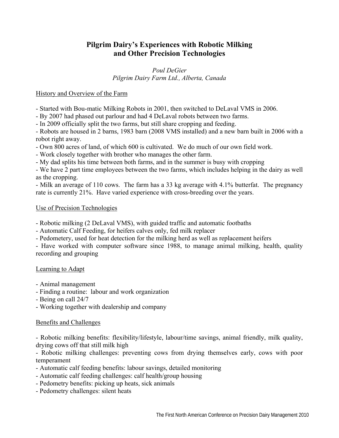# **Pilgrim Dairy's Experiences with Robotic Milking and Other Precision Technologies**

*Poul DeGier Pilgrim Dairy Farm Ltd., Alberta, Canada* 

## History and Overview of the Farm

- Started with Bou-matic Milking Robots in 2001, then switched to DeLaval VMS in 2006.

- By 2007 had phased out parlour and had 4 DeLaval robots between two farms.

- In 2009 officially split the two farms, but still share cropping and feeding.

- Robots are housed in 2 barns, 1983 barn (2008 VMS installed) and a new barn built in 2006 with a robot right away.

- Own 800 acres of land, of which 600 is cultivated. We do much of our own field work.

- Work closely together with brother who manages the other farm.

- My dad splits his time between both farms, and in the summer is busy with cropping

- We have 2 part time employees between the two farms, which includes helping in the dairy as well as the cropping.

- Milk an average of 110 cows. The farm has a 33 kg average with 4.1% butterfat. The pregnancy rate is currently 21%. Have varied experience with cross-breeding over the years.

## Use of Precision Technologies

- Robotic milking (2 DeLaval VMS), with guided traffic and automatic footbaths

- Automatic Calf Feeding, for heifers calves only, fed milk replacer

- Pedometery, used for heat detection for the milking herd as well as replacement heifers

- Have worked with computer software since 1988, to manage animal milking, health, quality recording and grouping

## Learning to Adapt

- Animal management
- Finding a routine: labour and work organization
- Being on call 24/7
- Working together with dealership and company

## Benefits and Challenges

- Robotic milking benefits: flexibility/lifestyle, labour/time savings, animal friendly, milk quality, drying cows off that still milk high

- Robotic milking challenges: preventing cows from drying themselves early, cows with poor temperament

- Automatic calf feeding benefits: labour savings, detailed monitoring
- Automatic calf feeding challenges: calf health/group housing
- Pedometry benefits: picking up heats, sick animals
- Pedometry challenges: silent heats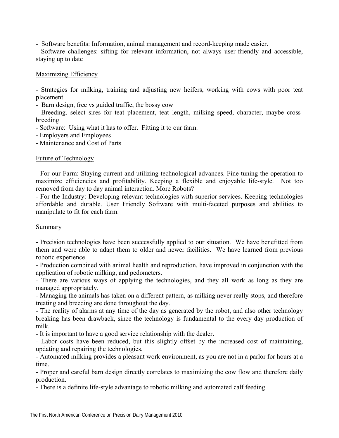- Software benefits: Information, animal management and record-keeping made easier.

- Software challenges: sifting for relevant information, not always user-friendly and accessible, staying up to date

#### Maximizing Efficiency

- Strategies for milking, training and adjusting new heifers, working with cows with poor teat placement

- Barn design, free vs guided traffic, the bossy cow

- Breeding, select sires for teat placement, teat length, milking speed, character, maybe crossbreeding

- Software: Using what it has to offer. Fitting it to our farm.

- Employers and Employees

- Maintenance and Cost of Parts

#### Future of Technology

- For our Farm: Staying current and utilizing technological advances. Fine tuning the operation to maximize efficiencies and profitability. Keeping a flexible and enjoyable life-style. Not too removed from day to day animal interaction. More Robots?

- For the Industry: Developing relevant technologies with superior services. Keeping technologies affordable and durable. User Friendly Software with multi-faceted purposes and abilities to manipulate to fit for each farm.

#### Summary

- Precision technologies have been successfully applied to our situation. We have benefitted from them and were able to adapt them to older and newer facilities. We have learned from previous robotic experience.

- Production combined with animal health and reproduction, have improved in conjunction with the application of robotic milking, and pedometers.

- There are various ways of applying the technologies, and they all work as long as they are managed appropriately.

- Managing the animals has taken on a different pattern, as milking never really stops, and therefore treating and breeding are done throughout the day.

- The reality of alarms at any time of the day as generated by the robot, and also other technology breaking has been drawback, since the technology is fundamental to the every day production of milk.

- It is important to have a good service relationship with the dealer.

- Labor costs have been reduced, but this slightly offset by the increased cost of maintaining, updating and repairing the technologies.

- Automated milking provides a pleasant work environment, as you are not in a parlor for hours at a time.

- Proper and careful barn design directly correlates to maximizing the cow flow and therefore daily production.

- There is a definite life-style advantage to robotic milking and automated calf feeding.